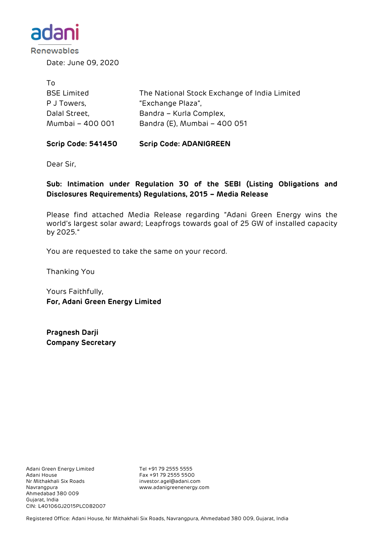

Renewables

Date: June 09, 2020

| To.                |                                              |
|--------------------|----------------------------------------------|
| <b>BSE Limited</b> | The National Stock Exchange of India Limited |
| P J Towers,        | "Exchange Plaza",                            |
| Dalal Street,      | Bandra - Kurla Complex,                      |
| Mumbai - 400 001   | Bandra (E), Mumbai - 400 051                 |
|                    |                                              |

#### **Scrip Code: 541450 Scrip Code: ADANIGREEN**

Dear Sir,

## **Sub: Intimation under Regulation 30 of the SEBI (Listing Obligations and Disclosures Requirements) Regulations, 2015 – Media Release**

Please find attached Media Release regarding "Adani Green Energy wins the world's largest solar award; Leapfrogs towards goal of 25 GW of installed capacity by 2025."

You are requested to take the same on your record.

Thanking You

Yours Faithfully, **For, Adani Green Energy Limited**

**Pragnesh Darji Company Secretary**

Adani Green Energy Limited Tel +91 79 2555 5555 Adani House Fax +91 79 2555 5500 Navrangpura www.adanigreenenergy.com Ahmedabad 380 009 Gujarat, India CIN: L40106GJ2015PLC082007

investor.agel@adani.com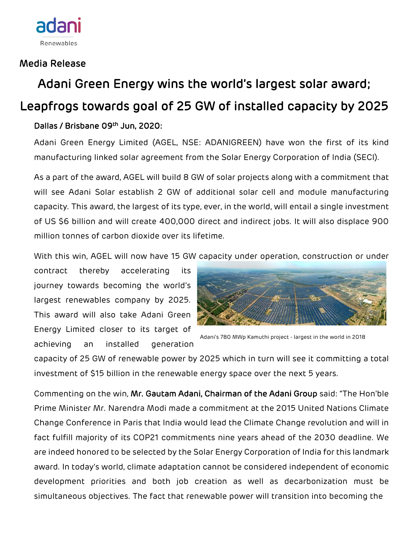

## Media Release

# Adani Green Energy wins the world's largest solar award; Leapfrogs towards goal of 25 GW of installed capacity by 2025

## Dallas / Brisbane 09th Jun, 2020:

Adani Green Energy Limited (AGEL, NSE: ADANIGREEN) have won the first of its kind manufacturing linked solar agreement from the Solar Energy Corporation of India (SECI).

As a part of the award, AGEL will build 8 GW of solar projects along with a commitment that will see Adani Solar establish 2 GW of additional solar cell and module manufacturing capacity. This award, the largest of its type, ever, in the world, will entail a single investment of US \$6 billion and will create 400,000 direct and indirect jobs. It will also displace 900 million tonnes of carbon dioxide over its lifetime.

With this win, AGEL will now have 15 GW capacity under operation, construction or under

contract thereby accelerating its journey towards becoming the world's [largest renewables company](https://www.linkedin.com/pulse/our-vision-become-worlds-largest-solar-power-company-2025-adani/) by 2025. This award will also take Adani Green Energy Limited closer to its target of achieving an installed generation



Adani's 780 MWp Kamuthi project - largest in the world in 2018

capacity of 25 GW of renewable power by 2025 which in turn will see it committing a total investment of \$15 billion in the renewable energy space over the next 5 years.

Commenting on the win, Mr. Gautam Adani, Chairman of the Adani Group said: "The Hon'ble Prime Minister Mr. Narendra Modi made a commitment at the 2015 United Nations Climate Change Conference in Paris that India would lead the Climate Change revolution and will in fact fulfill majority of its COP21 commitments nine years ahead of the 2030 deadline. We are indeed honored to be selected by the Solar Energy Corporation of India for this landmark award. In today's world, climate adaptation cannot be considered independent of economic development priorities and both job creation as well as decarbonization must be simultaneous objectives. The fact that renewable power will transition into becoming the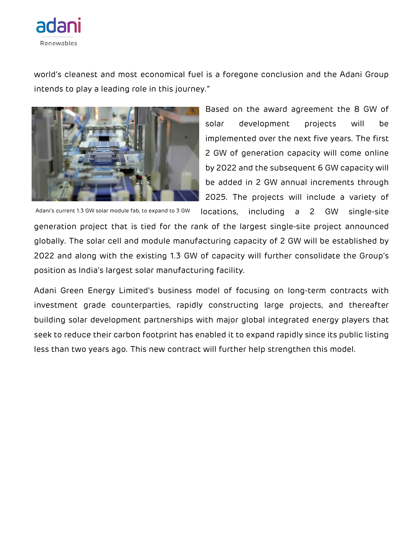

world's cleanest and most economical fuel is a foregone conclusion and the Adani Group intends to play a leading role in this journey."



solar development projects will be implemented over the next five years. The first 2 GW of generation capacity will come online by 2022 and the subsequent 6 GW capacity will be added in 2 GW annual increments through 2025. The projects will include a variety of locations, including a 2 GW single-site

Based on the award agreement the 8 GW of

Adani's current 1.3 GW solar module fab, to expand to 3 GW

generation project that is tied for the rank of the [largest single-site project](https://www.greentechmedia.com/articles/read/worlds-largest-solar-project-will-also-be-worlds-cheapest) announced globally. The solar cell and module manufacturing capacity of 2 GW will be established by 2022 and along with the existing 1.3 GW of capacity will further consolidate the Group's position as India's largest solar manufacturing facility.

Adani Green Energy Limited's business model of focusing on long-term contracts with investment grade counterparties, rapidly constructing large projects, and thereafter building solar development partnerships with major global integrated energy players that seek to reduce their carbon footprint has enabled it to expand rapidly since its public listing less than two years ago. This new contract will further help strengthen this model.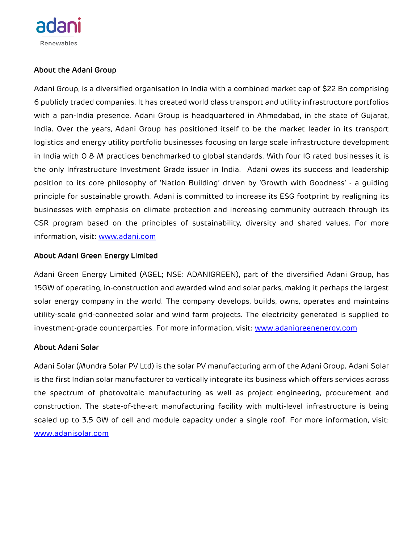

## About the Adani Group

Adani Group, is a diversified organisation in India with a combined market cap of \$22 Bn comprising 6 publicly traded companies. It has created world class transport and utility infrastructure portfolios with a pan-India presence. Adani Group is headquartered in Ahmedabad, in the state of Gujarat, India. Over the years, Adani Group has positioned itself to be the market leader in its transport logistics and energy utility portfolio businesses focusing on large scale infrastructure development in India with O & M practices benchmarked to global standards. With four IG rated businesses it is the only Infrastructure Investment Grade issuer in India. Adani owes its success and leadership position to its core philosophy of 'Nation Building' driven by 'Growth with Goodness' - a guiding principle for sustainable growth. Adani is committed to increase its ESG footprint by realigning its businesses with emphasis on climate protection and increasing community outreach through its CSR program based on the principles of sustainability, diversity and shared values. For more information, visit: [www.adani.com](http://www.adani.com/)

### About Adani Green Energy Limited

Adani Green Energy Limited (AGEL; NSE: ADANIGREEN), part of the diversified Adani Group, has 15GW of operating, in-construction and awarded wind and solar parks, making it perhaps the largest solar energy company in the world. The company develops, builds, owns, operates and maintains utility-scale grid-connected solar and wind farm projects. The electricity generated is supplied to investment-grade counterparties. For more information, visit: [www.adanigreenenergy.com](http://www.adanigreenenergy.com/)

#### About Adani Solar

Adani Solar (Mundra Solar PV Ltd) is the solar PV manufacturing arm of the Adani Group. Adani Solar is the first Indian solar manufacturer to vertically integrate its business which offers services across the spectrum of photovoltaic manufacturing as well as project engineering, procurement and construction. The state-of-the-art manufacturing facility with multi-level infrastructure is being scaled up to 3.5 GW of cell and module capacity under a single roof. For more information, visit: [www.adanisolar.com](http://www.adanisolar.com/)